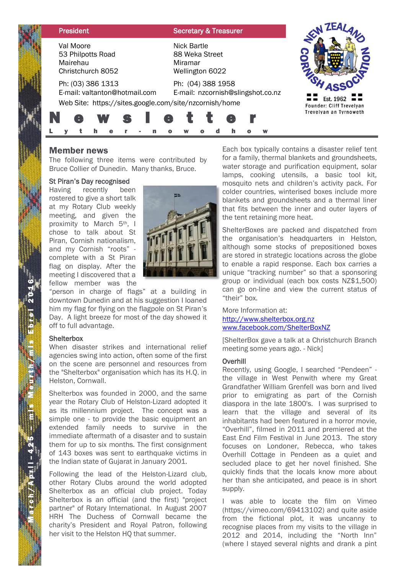| <b>President</b>                                                                                             | <b>Secretary &amp; Treasurer</b>                            |                                       |  |
|--------------------------------------------------------------------------------------------------------------|-------------------------------------------------------------|---------------------------------------|--|
| Val Moore<br>53 Philpotts Road<br>Mairehau<br>Christchurch 8052                                              | Nick Bartle<br>88 Weka Street<br>Miramar<br>Wellington 6022 |                                       |  |
| Ph: (03) 386 1313<br>E-mail: valtanton@hotmail.com<br>Web Site: https://sites.google.com/site/nzcornish/home | Ph: (04) 388 1958<br>E-mail: nzcornish@slingshot.co.nz      | Est. 1962<br>Founder: Cliff Trevelyan |  |
| W<br>S                                                                                                       | e                                                           | Trevelyan an Tyrnoweth                |  |

## Member news

The following three items were contributed by Bruce Collier of Dunedin. Many thanks, Bruce.

#### St Piran's Day recognised

Having recently been rostered to give a short talk at my Rotary Club weekly meeting, and given the proximity to March 5th, I chose to talk about St Piran, Cornish nationalism, and my Cornish "roots" complete with a St Piran flag on display. After the meeting I discovered that a fellow member was the

"person in charge of flags" at a building in downtown Dunedin and at his suggestion I loaned him my flag for flying on the flagpole on St Piran's Day. A light breeze for most of the day showed it off to full advantage.

#### **Shelterbox**

When disaster strikes and international relief agencies swing into action, often some of the first on the scene are personnel and resources from the "Shelterbox" organisation which has its H.Q. in Helston, Cornwall.

Shelterbox was founded in 2000, and the same year the Rotary Club of Helston-Lizard adopted it as its millennium project. The concept was a simple one - to provide the basic equipment an extended family needs to survive in the immediate aftermath of a disaster and to sustain them for up to six months. The first consignment of 143 boxes was sent to earthquake victims in the Indian state of Gujarat in January 2001.

Following the lead of the Helston-Lizard club, other Rotary Clubs around the world adopted Shelterbox as an official club project. Today Shelterbox is an official (and the first) "project partner" of Rotary International. In August 2007 HRH The Duchess of Cornwall became the charity's President and Royal Patron, following her visit to the Helston HQ that summer.

Each box typically contains a disaster relief tent for a family, thermal blankets and groundsheets, water storage and purification equipment, solar lamps, cooking utensils, a basic tool kit, mosquito nets and children's activity pack. For colder countries, winterised boxes include more blankets and groundsheets and a thermal liner that fits between the inner and outer layers of the tent retaining more heat.

ShelterBoxes are packed and dispatched from the organisation's headquarters in Helston, although some stocks of prepositioned boxes are stored in strategic locations across the globe to enable a rapid response. Each box carries a unique "tracking number" so that a sponsoring group or individual (each box costs NZ\$1,500) can go on-line and view the current status of "their" box.

### More Information at: [http://www.shelterbox.org.nz](http://www.shelterbox.org.nz/) [www.facebook.com/ShelterBoxNZ](http://www.facebook.com/ShelterBoxNZ)

[ShelterBox gave a talk at a Christchurch Branch meeting some years ago. - Nick]

### **Overhill**

Recently, using Google, I searched "Pendeen" the village in West Penwith where my Great Grandfather William Grenfell was born and lived prior to emigrating as part of the Cornish diaspora in the late 1800's. I was surprised to learn that the village and several of its inhabitants had been featured in a horror movie, "Overhill", filmed in 2011 and premiered at the East End Film Festival in June 2013. The story focuses on Londoner, Rebecca, who takes Overhill Cottage in Pendeen as a quiet and secluded place to get her novel finished. She quickly finds that the locals know more about her than she anticipated, and peace is in short supply.

I was able to locate the film on Vimeo (https://vimeo.com/69413102) and quite aside from the fictional plot, it was uncanny to recognise places from my visits to the village in 2012 and 2014, including the "North Inn" (where I stayed several nights and drank a pint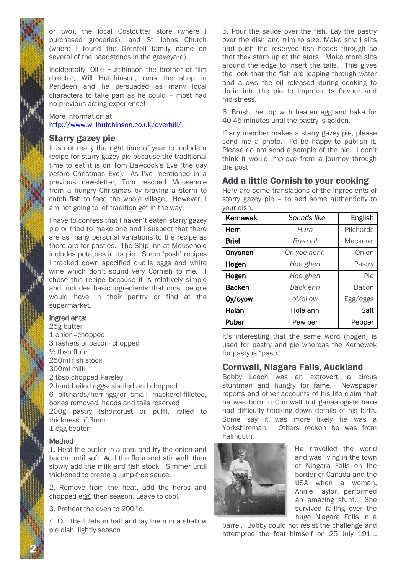or two), the local Costcutter store (where I purchased groceries), and St Johns Church (where I found the Grenfell family name on several of the headstones in the graveyard).

Incidentally, Ollie Hutchinson the brother of film director, Will Hutchinson, runs the shop in Pendeen and he persuaded as many local characters to take part as he could – most had no previous acting experience!

More information at <http://www.willhutchinson.co.uk/overhill/>

## Starry gazey pie

It is not really the right time of year to include a recipe for starry gazey pie because the traditional time to eat it is on Tom Bawcock's Eve (the day before Christmas Eve). As I've mentioned in a previous newsletter, Tom rescued Mousehole from a hungry Christmas by braving a storm to catch fish to feed the whole village. However, I am not going to let tradition get in the way,

I have to confess that I haven't eaten starry gazey pie or tried to make one and I suspect that there are as many personal variations to the recipe as there are for pasties. The Ship Inn at Mousehole includes potatoes in its pie. Some 'posh' recipes I tracked down specified quails eggs and white wine which don't sound very Cornish to me. I chose this recipe because it is relatively simple and includes basic ingredients that most people would have in their pantry or find at the supermarket.

### Ingredients:

25g butter 1 onion–chopped 3 rashers of bacon- chopped

 $\frac{1}{2}$  tbsp flour

250ml fish stock

300ml milk

2 tbsp chopped Parsley

2 hard boiled eggs- shelled and chopped

6 pilchards/herrings/or small mackerel-filleted, bones removed, heads and tails reserved

200g pastry (shortcrust or puff), rolled to thickness of 3mm

1 egg beaten

### Method

2 i.

1. Heat the butter in a pan, and fry the onion and bacon until soft. Add the flour and stir well, then slowly add the milk and fish stock. Simmer until thickened to create a lump-free sauce.

2. Remove from the heat, add the herbs and chopped egg, then season. Leave to cool.

3. Preheat the oven to 200°c.

4. Cut the fillets in half and lay them in a shallow pie dish, lightly season.

5. Pour the sauce over the fish. Lay the pastry over the dish and trim to size. Make small slits and push the reserved fish heads through so that they stare up at the stars. Make more slits around the edge to insert the tails. This gives the look that the fish are leaping through water and allows the oil released during cooking to drain into the pie to improve its flavour and moistness.

6. Brush the top with beaten egg and bake for 40-45 minutes until the pastry is golden.

If any member makes a starry gazey pie, please send me a photo. I'd be happy to publish it. Please do not send a sample of the pie. I don't think it would improve from a journey through the post!

## Add a little Cornish to your cooking

Here are some translations of the ingredients of starry gazey pie – to add some authenticity to your dish.

| <b>Kernewek</b> | Sounds like | English      |
|-----------------|-------------|--------------|
| Hern            | Hurn        | Pilchards    |
| <b>Briel</b>    | Bree ell    | Mackerel     |
| Onyonen         | On yoe nenn | Onion        |
| Hogen           | Hoe ghen    | Pastry       |
| Hogen           | Hoe ghen    | Pie          |
| <b>Backen</b>   | Back enn    | <b>Bacon</b> |
| Oy/oyow         | oi/oi ow    | Egg/eggs     |
| Holan           | Hole ann    | Salt         |
| Puber           | Pew ber     | Pepper       |

It's interesting that the same word (hogen) is used for pastry and pie whereas the Kernewek for pasty is "pasti".

## Cornwall, Niagara Falls, Auckland

Bobby Leach was an extrovert, a circus stuntman and hungry for fame. Newspaper reports and other accounts of his life claim that he was born in Cornwall but genealogists have had difficulty tracking down details of his birth. Some say it was more likely he was a Yorkshireman. Others reckon he was from Falmouth.



He travelled the world and was living in the town of Niagara Falls on the border of Canada and the USA when a woman, Annie Taylor, performed an amazing stunt. She survived falling over the huge Niagara Falls in a

barrel. Bobby could not resist the challenge and attempted the feat himself on 25 July 1911.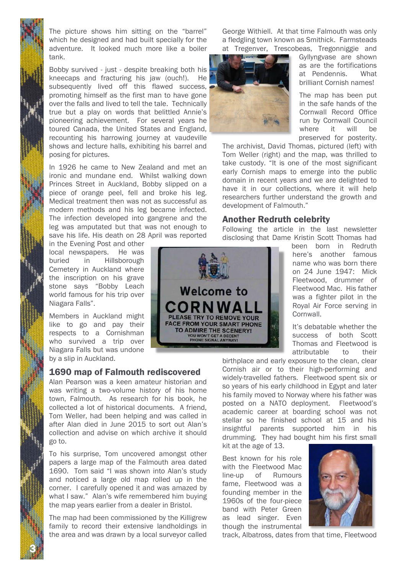The picture shows him sitting on the "barrel" which he designed and had built specially for the adventure. It looked much more like a boiler tank.

Bobby survived - just - despite breaking both his kneecaps and fracturing his jaw (ouch!). He subsequently lived off this flawed success. promoting himself as the first man to have gone over the falls and lived to tell the tale. Technically true but a play on words that belittled Annie's pioneering achievement. For several years he toured Canada, the United States and England, recounting his harrowing journey at vaudeville shows and lecture halls, exhibiting his barrel and posing for pictures.

In 1926 he came to New Zealand and met an ironic and mundane end. Whilst walking down Princes Street in Auckland, Bobby slipped on a piece of orange peel, fell and broke his leg. Medical treatment then was not as successful as modern methods and his leg became infected. The infection developed into gangrene and the leg was amputated but that was not enough to save his life. His death on 28 April was reported

in the Evening Post and other local newspapers. He was buried in Hillsborough Cemetery in Auckland where the inscription on his grave stone says "Bobby Leach world famous for his trip over Niagara Falls".

Members in Auckland might like to go and pay their respects to a Cornishman who survived a trip over Niagara Falls but was undone by a slip in Auckland.

## 1690 map of Falmouth rediscovered

Alan Pearson was a keen amateur historian and was writing a two-volume history of his home town, Falmouth. As research for his book, he collected a lot of historical documents. A friend, Tom Weller, had been helping and was called in after Alan died in June 2015 to sort out Alan's collection and advise on which archive it should go to.

To his surprise, Tom uncovered amongst other papers a large map of the Falmouth area dated 1690. Tom said "I was shown into Alan's study and noticed a large old map rolled up in the corner. I carefully opened it and was amazed by what I saw." Alan's wife remembered him buying the map years earlier from a dealer in Bristol.

The map had been commissioned by the Killigrew family to record their extensive landholdings in the area and was drawn by a local surveyor called

3 i.

George Withiell. At that time Falmouth was only a fledgling town known as Smithick. Farmsteads at Tregenver, Trescobeas, Tregonniggie and



Gyllyngvase are shown as are the fortifications at Pendennis. What brilliant Cornish names!

The map has been put in the safe hands of the Cornwall Record Office run by Cornwall Council where it will be preserved for posterity.

The archivist, David Thomas, pictured (left) with Tom Weller (right) and the map, was thrilled to take custody. "It is one of the most significant early Cornish maps to emerge into the public domain in recent years and we are delighted to have it in our collections, where it will help researchers further understand the growth and development of Falmouth."

## Another Redruth celebrity

Following the article in the last newsletter disclosing that Dame Kristin Scott Thomas had

> been born in Redruth here's another famous name who was born there on 24 June 1947: Mick Fleetwood, drummer of Fleetwood Mac. His father was a fighter pilot in the Royal Air Force serving in Cornwall.

> It's debatable whether the success of both Scott Thomas and Fleetwood is attributable to their

birthplace and early exposure to the clean, clear Cornish air or to their high-performing and widely-travelled fathers. Fleetwood spent six or so years of his early childhood in Egypt and later his family moved to Norway where his father was posted on a NATO deployment. Fleetwood's academic career at boarding school was not stellar so he finished school at 15 and his insightful parents supported him in his drumming. They had bought him his first small kit at the age of 13.

Best known for his role with the Fleetwood Mac line-up of Rumours fame, Fleetwood was a founding member in the 1960s of the four-piece band with Peter Green as lead singer. Even though the instrumental



track, Albatross, dates from that time, Fleetwood